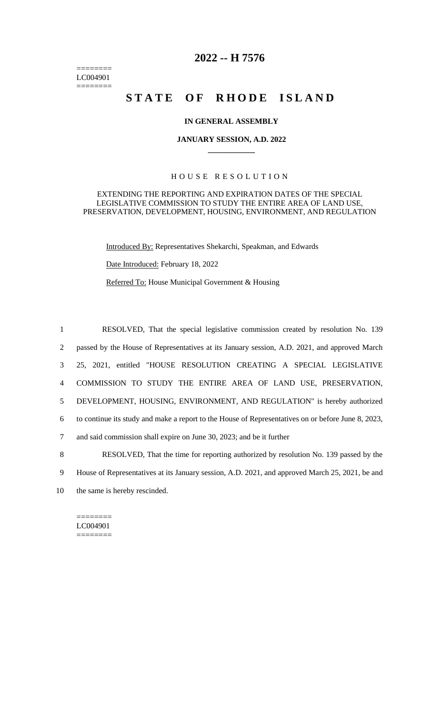======== LC004901  $=$ 

# **2022 -- H 7576**

# **STATE OF RHODE ISLAND**

## **IN GENERAL ASSEMBLY**

#### **JANUARY SESSION, A.D. 2022 \_\_\_\_\_\_\_\_\_\_\_\_**

# H O U S E R E S O L U T I O N

#### EXTENDING THE REPORTING AND EXPIRATION DATES OF THE SPECIAL LEGISLATIVE COMMISSION TO STUDY THE ENTIRE AREA OF LAND USE, PRESERVATION, DEVELOPMENT, HOUSING, ENVIRONMENT, AND REGULATION

Introduced By: Representatives Shekarchi, Speakman, and Edwards

Date Introduced: February 18, 2022

Referred To: House Municipal Government & Housing

 RESOLVED, That the special legislative commission created by resolution No. 139 passed by the House of Representatives at its January session, A.D. 2021, and approved March 25, 2021, entitled "HOUSE RESOLUTION CREATING A SPECIAL LEGISLATIVE COMMISSION TO STUDY THE ENTIRE AREA OF LAND USE, PRESERVATION, DEVELOPMENT, HOUSING, ENVIRONMENT, AND REGULATION" is hereby authorized to continue its study and make a report to the House of Representatives on or before June 8, 2023, and said commission shall expire on June 30, 2023; and be it further RESOLVED, That the time for reporting authorized by resolution No. 139 passed by the House of Representatives at its January session, A.D. 2021, and approved March 25, 2021, be and

10 the same is hereby rescinded.

======== LC004901 ========